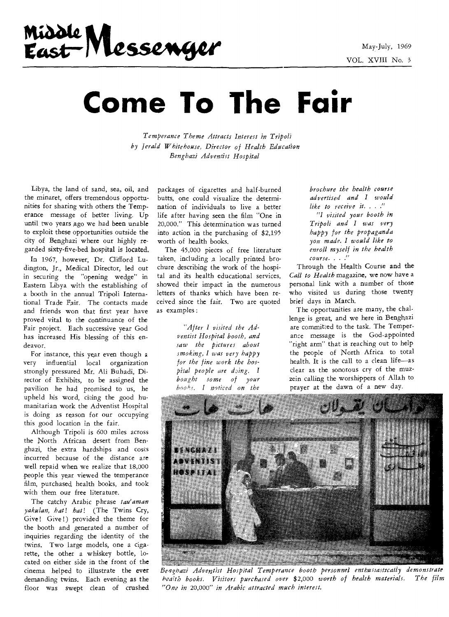# **wiaz42,**  Middle Messenger<br>East Messenger

# **Come To The Fair**

*Temperance Theme Attracts Interest in Tripoli by Jerald Whitehouse, Director of Health Education Benghazi Adventist Hospital* 

Libya, the land of sand, sea, oil, and the minaret, offers tremendous opportunities for sharing with others the Temperance message of better living. Up until two years ago we had been unable to exploit these opportunities outside the city of Benghazi where our highly regarded sixty-five-bed hospital is located.

In 1967, however, Dr. Clifford Ludington, Jr., Medical Director, led out in securing the "opening wedge" in Eastern Libya with the establishing of a booth in the annual Tripoli International Trade Fair. The contacts made and friends won that first year have proved vital to the continuance of the Fair project. Each successive year God has increased His blessing of this endeavor.

For instance, this year even though a very influential local organization strongly pressured Mr. Ali Buhadi, Director of Exhibits, to be assigned the pavilion he had promised to us, he upheld his word, citing the good humanitarian work the Adventist Hospital is doing as reason for our occupying this good location in the fair.

Although Tripoli is 600 miles across the North African desert from Benghazi, the extra hardships and costs incurred because of the distance are well repaid when we realize that 18,000 people this year viewed the temperance film, purchased health books, and took with them our free literature.

The catchy Arabic phrase *tau'aman yakulan, hat! hat!* (The Twins Cry, Give! Give!) provided the theme for the booth and generated a number of inquiries regarding the identity of the twins. Two large models, one a cigarette, the other a whiskey bottle, located on either side in the front of the cinema helped to illustrate the ever demanding twins. Each evening as the floor was swept clean of crushed packages of cigarettes and half-burned butts, one could visualize the determination of individuals to live a better life after having seen the film "One in 20,000." This determination was turned into action in the purchasing of \$2,195 worth of health books.

The 45,000 pieces of free literature taken, including ,a locally printed brochure describing the work of the hospital and its health educational services, showed their impact in the numerous letters of thanks which have been received since the fair. Two are quoted as examples :

> *"After I visited the Adventist Hospital booth, and saw the pictures about smoking, I was very happy for the fine work the hospital people are ding. I bought some of your b,)ol,r. I noticed on the*

*brochure the health course advertised and I would like to receive it. . ." "I visited your booth in Tripoli and I was very happy for the propaganda you made. I would like to enroll myself in the health course. . . ."* 

Through the Health Course and the *Call to Health* magazine, we now have a personal link with a number of those who visited us during those twenty brief days in March.

The opportunities are many, the challenge is great, and we here in Benghazi are committed to the task. The Temperance message is the God-appointed "right arm" that is reaching out to help the people of North Africa to total health. It is the call to a clean life—as clear as the sonorous cry of the muzzein calling the worshippers of Allah to prayer at the dawn of a new day.



*Benghazi Adventist Hospital Temperance booth personnel enthusiastically demonstrate health books. Visitors purchased over* \$2,000 *worth of health materials. The film "One in* 20,000" *in Arabic attracted much interest.*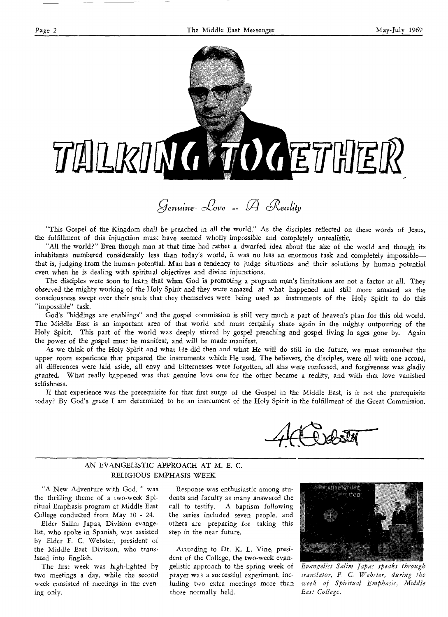

# *genutrte- 1)ove == A C'ealtfp*

"This Gospel of the Kingdom shall be preached in all the world." As the disciples reflected on these words of Jesus, the fulfillment of this injunction must have seemed wholly impossible and completely unrealistic.

"All the world?" Even though man at that *time* had rather a dwarfed idea about the size of the world and though its inhabitants numbered considerably less than today's world, it was no less an enormous task and completely impossible that is, judging from the human potential. Man has a tendency to judge situations and their solutions by human potential even when he is dealing with spiritual objectives and divine injunctions.

The disciples were soon to learn that when God is promoting a program man's limitations are not a factor at all. They observed the mighty working of the Holy Spirit and they were amazed at what happened and still more amazed as the consciousness swept over their souls that they themselves were being used as instruments of the Holy Spirit to do this "impossible" task.

God's "biddings are enablings" and the gospel commission is still very much a part of heaven's plan for this old world. The Middle East is an important area of that world and must certainly share again in the mighty outpouring of the Holy Spirit. This part of the world was deeply stirred by gospel preaching and gospel living in ages gone by. Again the power of the gospel must be manifest, and will be made manifest.

As we think of the Holy Spirit and what He did then and what He will do still in the future, we must remember the upper room experience that prepared the instruments which He used. The believers, the disciples, were all with one accord, all differences were laid aside, all envy and bitternesses were forgotten, all sins were *confessed, and forgiveness* was gladly granted. What really happened was that genuine love one for the other became a reality, and with that love vanished selfishness.

If that experience was the prerequisite for that first surge of the Gospel in the Middle East, is it not the prerequisite today? By God's grace I am determined to be an instrument of the Holy Spirit in the fulfillment of the Great Commission.

#### AN EVANGELISTIC APPROACH AT M. E. C. RELIGIOUS EMPHASIS WEEK

"A New Adventure with God, " was the thrilling theme of a two-week Spiritual Emphasis program at Middle East College conducted from May 10 - 24.

Elder Salim Japas, Division evangelist, who spoke in Spanish, was assisted by Elder F. C. Webster, president of the Middle East Division, who translated into English.

The first week was high-lighted by two meetings a day, while the second week consisted of meetings in the evening only.

Response was enthusiastic among students and faculty as many answered the call to testify. A baptism following the series included seven people, and others are preparing for taking this step in the near future.

According to Dr. K. L. Vine, president of the College, the two-week evangelistic approach to the spring week of prayer was a successful experiment, including two extra meetings more than those normally held.



*Evangelist Salim Japas speaks through translator, F. C. Webster, during the week of Spiritual Emphasis, Middle East College.*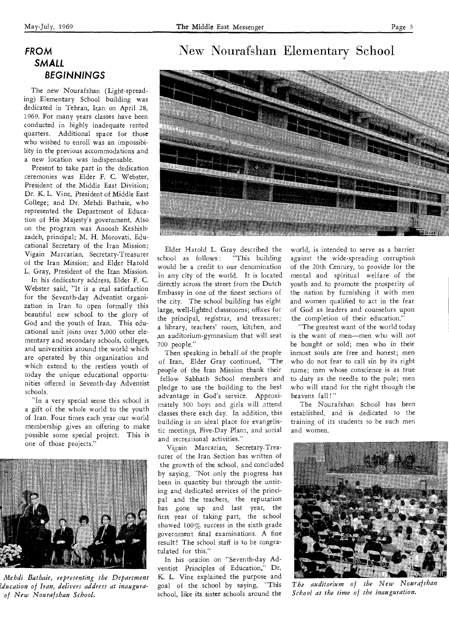The new Nourafshan (Light-spreading) Elementary School building was dedicated in Tehran, Iran on April 28, 1969. For many years classes have been conducted in highly inadequate rented quarters. Additional space for those who wished to enroll was an impossibility in the previous accommodations and a new location was indispensable.

Present to take part in the dedication ceremonies was Elder F. C. Webster, President of the Middle East Division; Dr. K. L. Vine, President of Middle East College; and Dr. Mehdi Bathaie, who represented the Department of Education of His Majesty's government. Also on the program was Anoosh Keshishzadeh, principal; M. H. Morovati, Educational Secretary of the Iran Mission; Vigain Marcarian, Secretary-Treasurer of the Iran Mission; and Elder Harold L. Gray, President of the Iran Mission.

In his dedicatory address, Elder F. C. Webster said, "It is a real satisfaction for the Seventh-day Adventist organization in Iran to open formally this beautiful new school to the glory of God and the youth of Iran. This educational unit joins over 5,000 other elementary and secondary schools, colleges, and universities around the world which are operated by this organization and which extend to the restless youth of today the unique educational opportunities offered in Seventh-day Adventist schools.

"In a very special sense this school is a gift of the whole world to the youth of Iran. Four times each year our world membership gives an offering to make possible some special project. This is one of those projects."



*Mehdi Bathaie, representing the Department ?ducation of Iran, delivers address at inauguraof New Nourafshan School.* 

# New Nourafshan Elementary School



Elder Harold L. Gray described the<br>hool as follows: "This building school as follows: would be a credit to our denomination in any city of the world. It is located directly across the street from the Dutch Embassy in one of the finest sections of the city. The school building has eight large, well-lighted classrooms; offices for the principal, registrar, and treasurer; a library, teachers' room, kitchen, and ,an auditorium-gymnasium that will seat 700 people."

Then speaking in behalf of the people of Iran, Elder Gray continued, "The people of the Iran Mission thank their fellow Sabbath School members and pledge to use the building to the best advantage in God's service. Approximately 300 boys and girls will ,attend classes there each day. In addition, this building is an ideal place for evangelistic meetings, Five-Day Plans, and social and recreational activities."

Vigain Marcarian, Secretary-Treasurer of the Iran Section has written of the growth of the school, and concluded by saying, "Not only the progress has been in quantity but through the untiring and dedicated services of the principal and the teachers, the reputation has gone up and last year, the first year of taking part, the school showed 100% success in the sixth grade government final examinations. A fine result! The school staff is to be congratulated for this."

In his oration on "Seventh-day Adventist Principles of Education," Dr. K. L. Vine explained the purpose and goal of the school by saying, "This school, like its sister schools around the

world, is intended to serve as a barrier against the wide-spreading corruption of the 20th Century, to provide for the mental and spiritual welfare of the youth and to promote the prosperity of the nation by furnishing it with men and women qualified to act in the fear of God as leaders and counselors upon the completion of their education."

"The greatest want of the world today is the want of men—men who will not be bought or sold; men who in their inmost souls are free and honest; men who do not fear to call sin by its right name; men whose conscience is as true to duty as the needle to the pole; men who will stand for the right though the heavens fall!"

The Nourafshan School has been established, and is dedicated to the training of its students to be such men and women.



*The auditorium of the New Nourafshan School at the time of the inauguration.*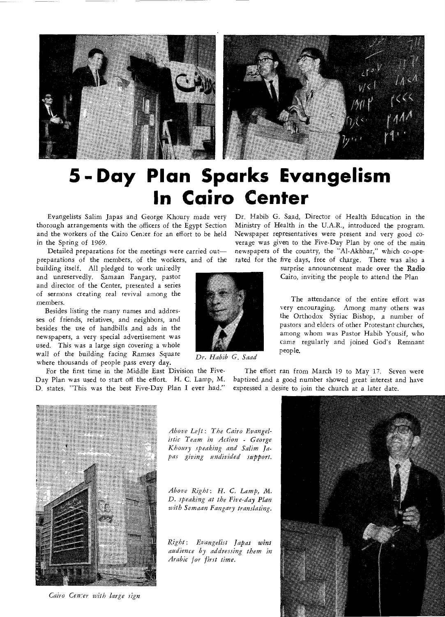



# **5-Day Plan Sparks Evangelism In Cairo Center**

Evangelists Salim Japas and George Khoury made very thorough arrangements with the officers of the Egypt Section and the workers of the Cairo Cemer for an effort to be held in the Spring of 1969.

Detailed preparations for the meetings were *carried* out preparations of the members, of the workers, and of the

building itself. All pledged to work unitedly and unreservedly. Samaan Fangary, pastor and director of the Center, presented a series of sermons creating real revival among the members.

Besides listing the many names and addresses of friends, relatives, and neighbors, and besides the use of handbills and ads in the newspapers, a very special advertisement was used. This was a large sign covering a whole wall of the *building facing Ramses* Square where thousands of people pass every day.

For the first time in the Middle East Division the Five-Day Plan was used to start off the effort. H. C. Lamp, M. D. states, "This was the best Five-Day Plan I ever had."

Dr. Habib G. Sa,ad, Director of Health Education in the Ministry of Health in the U.A.R., introduced the program. Newspaper representatives were present and very good coverage was given to the Five-Day Plan by one of the main newspapers of the country, the "Al-Akhbar," which co-operated for the five days, free of charge. There was also a

> surprise announcement made over the Radio Cairo, inviting the people to attend the Plan

> The attendance of the entire effort was very encouraging. Among many others was the Orthodox Syriac Bishop, a number of pastors and elders of other Protestant churches, among whom was Pastor Habib Yousif, who came regularly and joined God's Remnant people.

The effort ran from March 19 to May *17.* Seven were baptized and a good number showed great interest and have expressed a desire to join the church at a later date.



*Cairo Center with large sign* 

*Above Left: The Cairo Evangelistic Team in Action - George Khoury speaking and Salim Japas giving undivided support.* 

*Above Right: H. C. Lamp, M. D. speaking at the Five-day Plan with Semaan Fangary translating.* 

*Right: Evangelist Japas wins audience by addressing them in Arabic for first time.* 





*Dr. Habib G. Saad*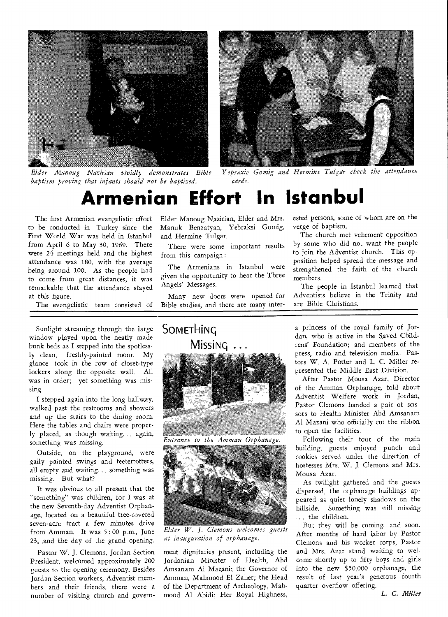



*baptism proving that infants should not be baptized. cards.* 

*Elder Manoug Nazirian vividly demonstrates Bible Yepraxie Gomig and Hermine Tulgar check the attendance* 

# **Armenian Effort In Istanbul**

The first Armenian evangelistic effort to be conducted in Turkey since the First World War was held in Istanbul from April 6 to May 30, 1969. There were 24 meetings held and the highest attendance was 180, with the average being around 100. As the people had to come from great distances, it was remarkable that the attendance stayed at this figure.

The evangelistic team consisted of

Sunlight streaming through the large window played upon the neatly made bunk beds as I stepped into the spotlessly clean, freshly-painted room. My glance took in the row of closet-type lockers along the opposite wall. All was in order; yet something was missing.

I stepped again into the long hallway, walked past the restrooms and showers and up the stairs to the dining room. Here the tables and chairs were properly placed, as though waiting... again, something was missing.

Outside, on the playground, were gaily painted swings and teetertotters, all empty and waiting... something was missing. But what?

It was obvious to all present that the "something" was children, for I was at the new Seventh-day Adventist Orphanage, located on a beautiful tree-covered seven-acre tract a few minutes drive from Amman. It was 5 : 00 p.m., June 23, and the day of the grand opening.

Pastor W. J. Clemons, Jordan Section President, welcomed approximately 200 guests to the opening ceremony. Besides Jordan Section workers, Adventist members and their friends, there were a number of visiting church and governElder Manoug N,azirian, Elder and Mrs. Manuk Benzatyan, Yebraksi Gomig, and Hermine Tulgar.

There were some important results from this campaign :

The Armenians in Istanbul were given the opportunity to hear the Three Angels' Messages.

Many new doors were opened for Bible studies, and there are many interested persons, some of whom are on the verge of baptism.

The church met vehement opposition by some who did not want the people to join the Adventist church. This opposition helped spread the message and strengthened the faith of the church members.

The people in Istanbul learned that Adventists believe in the Trinity and are Bible Christians.

#### a princess of the royal family of Jordan, who is active in the Saved Childrens' Foundation; and members of the press, radio and television media. Pastors W. A. Potter and L. C. Miller represented the Middle East Division.

After Pastor Mousa Azar, Director of the Amman Orphan,age, told about Adventist Welfare work in Jordan, Pastor Clemons handed a pair of scissors to Health Minister Abd Amsanam Al Mazani who officially cut the ribbon to open the facilities.

Following their tour of the main building, guests enjoyed punch and cookies served under the direction of hostesses Mrs. W. J. Clemons and Mrs. Mousa Azar.

As twilight gathered and the guests dispersed, the orphanage buildings appeared as quiet lonely shadows on the hillside. Something was still missing ... the children.

But they will be coming, and soon. After months of hard labor by Pastor Clemons and his worker corps, Pastor and Mrs. Azar stand waiting to welcome shortly up to fifty boys and girls into the new \$50,000 orphanage, the result of last year's generous fourth quarter overflow offering.

*L. C. Miller* 



Entrance to the Amman Orphanage.



*Elder W. J. Clemons welcomes guests at inauguration of orphanage.* 

ment dignitaries present, including the Jordanian Minister of Health, Abd Amsanam Al Mazani; the Governor of Amman, Mahmood El Zaher; the Head of the Department of Archeology, Mahmood Al Abidi; Her Royal Highness,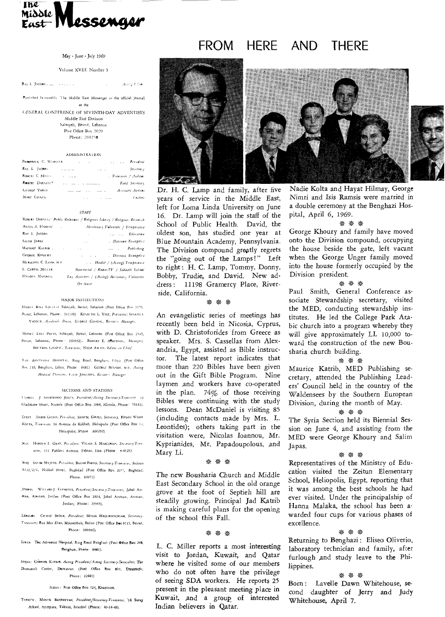

#### May - June - July 1969

#### Volume XVIII. Number 3

RAY L. JACOBS .... Acorp Elizer **Contract** 

Ponhvhat ht-monthl) 'I he Middle East Messenger is the official journal of the

GrNERAI. CONFERENCE OF SEVENTH-DAY ADVENTISTS Middle East Division

> Sabtiyeh, Beirut, Lebanon Post Office Box 2020 Phone: 260258

#### ADMIN1S7 RA 1 ION

| FREEFRICK C. WIESUR |                                 | and the state |              | and the state | President             |  |
|---------------------|---------------------------------|---------------|--------------|---------------|-----------------------|--|
| RAY L. JACOBS       | <b>Allen Street</b>             |               | and the con- |               | Secretary.            |  |
| ROBERT C. MILLS     | <b>Contract Contract</b>        |               |              |               | . Treasurer / Auditor |  |
| ROBERT DARNELL *    | and the contract and accessions |               |              |               | Field Secretary       |  |
| GEORGE YARD         | serve assert the                |               | $\cdots$     |               | Asystem Andrea        |  |
| MARY GHAZAI         |                                 | $\cdots$      |              |               | Cashier               |  |

#### STAFF

|                                    | ROBERT DARNITY" Public Relations / Religions Liberty / Religions Research |
|------------------------------------|---------------------------------------------------------------------------|
| ANTES A. HADDAD"                   | Missionary Voluntees / Temperante                                         |
| Клу 1. Јасова                      | Education<br>$\cdot$                                                      |
| <b>SALIM JAPAS</b>                 | . Division Exangelist<br>and the                                          |
| MAURICE KAIRIB.<br><b>Contract</b> | and the Publishing<br>and the                                             |
| <b>Grorge KHOURY</b>               | . Dasson brangelos<br>and the company of                                  |
| HERSCHEL C. LAMP, M.D.             | . Health / (Acting) Temperance                                            |
| L CURTIS MILLIR                    | Ministerial / Radio-TV / Sabbath Schaol                                   |
| MANOUL NAZIRIAN                    | Lay Activities / (Acting) Missionary Volumeer.                            |
|                                    | On leave                                                                  |

#### MAJOR INSIHUTIONs

Minn). **ii**481. Collitot. Sabtiyeh, Beirut, Lebanon. (Post Office Box 1170, Bestut, Lebanon, Phone. 201109) KENNITH L. VINF, Psessaent; Issuites YACOUB, Academic Dean, Gionor Giinzai, Business Manager.

Minui) Ensi Parss, Sahtiyeh, Beirut, Lebanno (Post Office Box 2345, Benut, Lebanon, Phone<sup>1</sup> 260932). ROBLRT E. Atorrasos, Alameer; B01.7805, GHAZM, Treasurei, NAIM AWAIS, Editor in Chief

1 ill Awn. tvi **HOSP1,1,** Re', Road, Benghan, I thya (Post **Other**  Box 210, Benghazi, Libya, Phone 6481) Grondr BrNSON, M.D., Acting Medical Director, C110 JOHNSON, Basiners Manager

#### SECTIONS AND STATIONS

(**learn J S.11.11WOOD doers,** bedew/Arun Snowy-nem/1o; 22 Gladstone Street, Nicosia (Post Office Box 1984, Nicosia, Phone<sup>.</sup> 76142).

- **Lure, LLABIR GlIAI I, Pleldefd,, SHAM, Hoonl WADI.**  KOLTA, Treasurez. 16 Avenue de Kobbeh, Heliopolis (Post Office Box 12. Heliopolis: Phnne 860292)
- IRAN HAROLD L. GRAY, *President*, VIGAIN S. MARCARIAN, Secretary-Treamrei, Ill Pahlavi Avenue, Tehran, Iran (Phone 4-4525)
- IRAQ SALIM MAILTED, Pierident, BASIM FARGO, Secretary-Treasurer, Sadoun A112/2/1, Nidhal Street, Baghdad (Post Office Box 2077, Baghdad. Phone. 84971)
- **301l11.11,** WiiiAan **I Cl rams,** Pleodeal/Seroborneatmeo, Jabal Ant man, Amman, Jordan (Post Office Box 2404, Jabal Amman, Amman, Jordan; Phone: 25345).
- LEBANON CHANIC SROUR, President; MINAS MEGURDITCHIAN, Secretaryroamer; Rue Mar Elms, Mouseitbeh, Beirut (Post Office Box 9715, Beirut, Phone · 303036),
- **Lan%** The Adventist Hospital, Ring Rnsd Benghari (Peat Office Box 249, Bengham, Phone 6401).
- Sxnta: GABRIEL KATRIB, Acting President/Acting Secretary-Tueasufer; The Damascus Center, Damascus (Post Office Box 839, Damascus; Phone: 22441)

#### SUDAN: Post Office Box 724, Khartoum.

TURKFY, MANIK BENZATYAN, President/Secretary-Treasurer, <sup>'</sup>14 Satay Arkasi, Ayazpasa, Taksim, Istanbul (Phone: 49-14-48).

# FROM HERE AND THERE



Dr. H. C. Lamp and family, after five years of service in the Middle East, left for Loma Linda University on June 16. Dr. Lamp will join the staff of the School of Public Health. David, the oldest son, has studied one year at Blue Mountain Academy, Pennsylvania. The Division compound greatly regrets the "going out of the Lamps!" Left to right : H. C. Lamp, Tommy, Donny, Bobby, Trudie, and David. New address: 11198 Gramercy Place, Riverside, California.

#### \* \* \*

An evangelistic series of *meetings has*  recently been held in Nicosia, Cyprus, with D. Christoforides from Greece as speaker. Mrs. S. Cassellas from Alexandria, Egypt, assisted as Bible instructor. The latest report indicates that more than 220 Bibles have been given out in the Gift Bible Program. Nine laymen and workers have co-operated in the plan. 74% of those receiving Bibles were continuing with the study lessons. Dean McDaniel is visiting 85 (including contacts made by Mrs. L. Leontides); others taking part in the visitation were, Nicolas Ioannou, Mr. Kyprianides, Mr. Papadoupolous, and Mary Li,

#### \* \* \*

*The* new Bousharia Church and Middle East Secondary School in the old orange grove at the foot of Septieh hill are steadily growing. Principal Jad K,atrib is making careful plans for the opening of the school this Fall.

#### \* \* \*

L. C. Miller reports a most interesting visit to Jordan, Kuwait, and Qatar where he visited some of our members who do not often have the privilege of seeing SDA workers. He reports 25 present in the pleasant meeting place in Kuwait, and a group of interested Indian believers in Qatar.

Nadie Kolta and Hayat Hilmay, George Nimri and Isis Ramsis were married in a double ceremony at the Benghazi Hospital, April 6, 1969.

#### \* \* \*

George Khoury and family have moved onto the Division compound, occupying the house beside the gate, left vacant when the George Unger family moved into the house formerly occupied by the Division president.

#### \* \* \*

Paul Smith, General Conference associate Stewardship secretary, visited the MED, conducting stewardship institutes. He led the College Park Arabic church into a program whereby they will give approximately LL 10,000 toward the construction of the new Bousharia church building.

#### \* \* \*

Maurice Katrib, MED Publishing secretary, attended the Publishing Leaders' Council held in the country of the Waldensees by the Southern European Division, during the month of May.

#### \* \* \*

The Syria Section held its Biennial Session on June 4, and assisting from the MED were George Khoury and Salim Japas.

#### \* \* \*

Representatives of the Ministry of Education visited the Zeitun Elementary School, Heliopolis, Egypt, reporting that it was among the best schools he had ever visited. Under the principalship of Hanna Malaka, the school has been awarded four cups for various phases of excellence.

#### \* \* \*

Returning to Benghazi : Eliseo Oliverio, laboratory technician and family, after furlough ,and study leave to the Philippines.

#### \* \*

Born : Lavelle Dawn Whitehouse, second daughter of Jerry and Judy Whitehouse, April 7.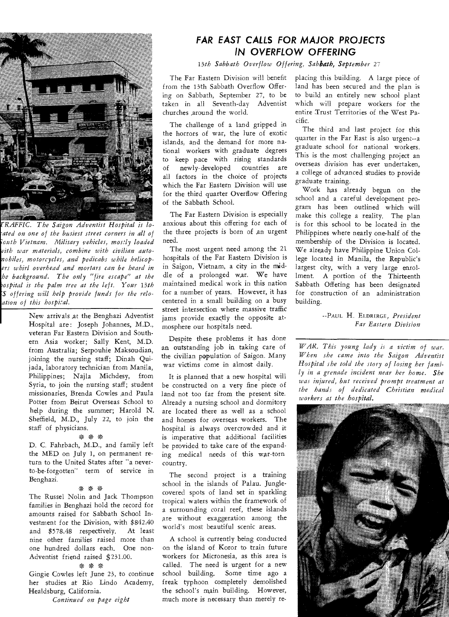

*TRAFFIC. The Saigon Adventist Hospital is loated on one of the busiest street corners in all of -outh Vietnam. Military vehicles, mostly loaded pith war materials, combine with civilian autonobiles, motorcycles, and pedicabs while helicopers whirl overhead and mortars can be heard in he background. The only "fire escape" at the iospital is the palm tree at the left. Your 13th 'S offering will help provide funds for the reloation of this hospital.* 

New arrivals at the Benghazi Adventist Hospital are: Joseph Johannes, M.D., veteran Far Eastern Division and Southern Asia worker; Sally Kent, M.D. from Australia; Serpouhie Maksoudian, joining the nursing staff; Dinah Quijada, laboratory technician from Manila, Philippines; Najla Michdesy, from Syria, to join the nursing staff; student missionaries, Brenda Cowles and Paula Potter from Beirut Overseas School to help during the summer; Harold N. Sheffield, M.D., July 22, to join the staff of physicians.

#### \* \* \*

D. C. Fahrbach, M.D., and family left the MED on July 1, on permanent return to the United States after "a neverto-be-forgotten" term of service in Benghazi.

#### • \* \*

The Russel Nolin and Jack Thompson families in Benghazi hold the record for amounts raised for Sabbath School Investment for the Division, with \$842.40 and \$578.48 respectively. At least nine other families raised more than one hundred dollars each. One non-Adventist friend raised \$231.00.

#### \* \*

Gingie Cowles left June 23, to continue her studies at Rio Lindo Academy, Healdsburg, California.

#### *Continued on page eight*

### **FAR EAST CALLS FOR MAJOR PROJECTS IN OVERFLOW OFFERING**

*13th Sabbath Overflow Offering, Sabbath, September* 27

The Far Eastern Division will benefit from the 13th Sabbath Overflow Offering on Sabbath, September 27, to be taken in all Seventh-day Adventist churches ,around the world.

The challenge of a land gripped in the horrors of war, the lure of exotic islands, and the demand for more national workers with graduate degrees to keep pace with rising standards of newly-developed countries are all factors in the choice of projects which the Far Eastern Division will use for the third quarter Overflow Offering of the Sabbath School.

The Far Eastern Division is especially anxious about this offering for each of the three projects is born of an urgent need.

The most urgent need among the 21 hospitals of the Far Eastern Division is in Saigon, Vietnam, a city in the middle of a prolonged war. We have maintained medical work in this nation for a number of years. However, it has centered in a small building on a busy street intersection where massive traffic jams provide exactly the opposite atmosphere our hospitals need.

Despite these problems it has done an outstanding job in taking care of the civilian population of Saigon. Many war victims come in almost daily.

It is planned that a new hospital will be constructed on a very fine piece of land not too far from the present site. Already a nursing school and dormitory are located there as well as a school and homes for overseas workers. The hospital is always overcrowded and it is imperative that additional facilities be provided to take care of the expanding medical needs of this war-torn country.

The second project is a training school in the islands of Palau. Junglecovered spots of land set in sparkling tropical waters within the framework of a surrounding coral reef, these islands Are without exaggeration among the world's most beautiful scenic areas.

A school is currently being conducted on the island of Koror to train future workers for Micronesia, as this area is called. The need is urgent for a new school building. Some time ago a freak typhoon completely demolished the school's main building. However, much more is necessary than merely replacing this building. A large piece of land has been secured and the plan is to build an entirely new school plant which will prepare workers for the entire Trust Territories of the West Pacific.

The third and last project for this quarter in the Far East is also urgent--a graduate school for national workers. This is the most challenging project an overseas division has ever undertaken, a college of advanced studies to provide graduate training.

Work has already begun on the school and a careful development program has been outlined which will make this college a reality. The plan is for this school to be located in the Philippines where nearly one-half of the membership of the Division is located. We already have Philippine Union College located in Manila, the Republic's largest city, with a very large enrollment. A portion of the Thirteenth Sabbath Offering has been designated for construction of an administration building.

> --PAUL H. ELDRIRGE, *President Far Eastern Division*

*WAR. This young lady is a victim of war. When she came into the Saigon Adventist Hospital she told the story of losing her family in a grenade incident near her home. She was injured, but received prompt treatment at the hands of dedicated Christian medical workers at the hospital.*